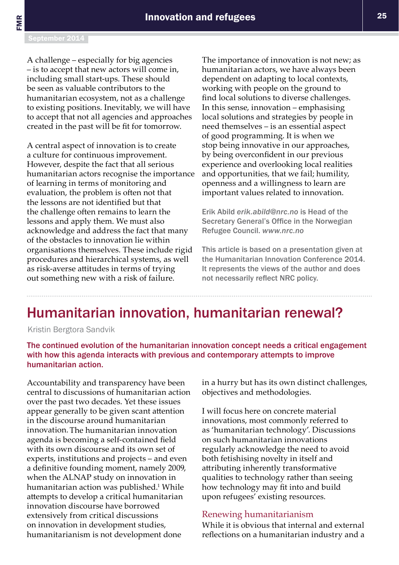## Humanitarian innovation, humanitarian renewal?

Kristin Bergtora Sandvik

The continued evolution of the humanitarian innovation concept needs a critical engagement with how this agenda interacts with previous and contemporary attempts to improve humanitarian action.

Accountability and transparency have been central to discussions of humanitarian action over the past two decades. Yet these issues appear generally to be given scant attention in the discourse around humanitarian innovation.The humanitarian innovation agenda is becoming a self-contained field with its own discourse and its own set of experts, institutions and projects – and even a definitive founding moment, namely 2009, when the ALNAP study on innovation in humanitarian action was published.<sup>1</sup> While attempts to develop a critical humanitarian innovation discourse have borrowed extensively from critical discussions on innovation in development studies, humanitarianism is not development done

in a hurry but has its own distinct challenges, objectives and methodologies.

I will focus here on concrete material innovations, most commonly referred to as 'humanitarian technology'. Discussions on such humanitarian innovations regularly acknowledge the need to avoid both fetishising novelty in itself and attributing inherently transformative qualities to technology rather than seeing how technology may fit into and build upon refugees' existing resources.

## Renewing humanitarianism

While it is obvious that internal and external reflections on a humanitarian industry and a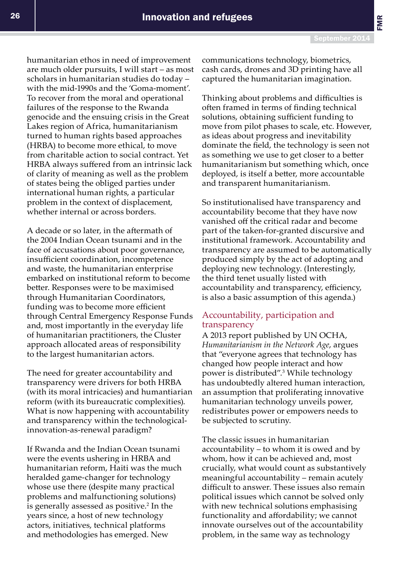FMR

humanitarian ethos in need of improvement are much older pursuits, I will start – as most scholars in humanitarian studies do today – with the mid-1990s and the 'Goma-moment'. To recover from the moral and operational failures of the response to the Rwanda genocide and the ensuing crisis in the Great Lakes region of Africa, humanitarianism turned to human rights based approaches (HRBA) to become more ethical, to move from charitable action to social contract. Yet HRBA always suffered from an intrinsic lack of clarity of meaning as well as the problem of states being the obliged parties under international human rights, a particular problem in the context of displacement, whether internal or across borders.

A decade or so later, in the aftermath of the 2004 Indian Ocean tsunami and in the face of accusations about poor governance, insufficient coordination, incompetence and waste, the humanitarian enterprise embarked on institutional reform to become better. Responses were to be maximised through Humanitarian Coordinators, funding was to become more efficient through Central Emergency Response Funds and, most importantly in the everyday life of humanitarian practitioners, the Cluster approach allocated areas of responsibility to the largest humanitarian actors.

The need for greater accountability and transparency were drivers for both HRBA (with its moral intricacies) and humantiarian reform (with its bureaucratic complexities). What is now happening with accountability and transparency within the technologicalinnovation-as-renewal paradigm?

If Rwanda and the Indian Ocean tsunami were the events ushering in HRBA and humanitarian reform, Haiti was the much heralded game-changer for technology whose use there (despite many practical problems and malfunctioning solutions) is generally assessed as positive.<sup>2</sup> In the years since, a host of new technology actors, initiatives, technical platforms and methodologies has emerged. New

communications technology, biometrics, cash cards, drones and 3D printing have all captured the humanitarian imagination.

Thinking about problems and difficulties is often framed in terms of finding technical solutions, obtaining sufficient funding to move from pilot phases to scale, etc. However, as ideas about progress and inevitability dominate the field, the technology is seen not as something we use to get closer to a better humanitarianism but something which, once deployed, is itself a better, more accountable and transparent humanitarianism.

So institutionalised have transparency and accountability become that they have now vanished off the critical radar and become part of the taken-for-granted discursive and institutional framework. Accountability and transparency are assumed to be automatically produced simply by the act of adopting and deploying new technology. (Interestingly, the third tenet usually listed with accountability and transparency, efficiency, is also a basic assumption of this agenda.)

## Accountability, participation and transparency

A 2013 report published by UN OCHA, *Humanitarianism in the Network Age*, argues that "everyone agrees that technology has changed how people interact and how power is distributed".3 While technology has undoubtedly altered human interaction, an assumption that proliferating innovative humanitarian technology unveils power, redistributes power or empowers needs to be subjected to scrutiny.

The classic issues in humanitarian accountability – to whom it is owed and by whom, how it can be achieved and, most crucially, what would count as substantively meaningful accountability – remain acutely difficult to answer. These issues also remain political issues which cannot be solved only with new technical solutions emphasising functionality and affordability; we cannot innovate ourselves out of the accountability problem, in the same way as technology